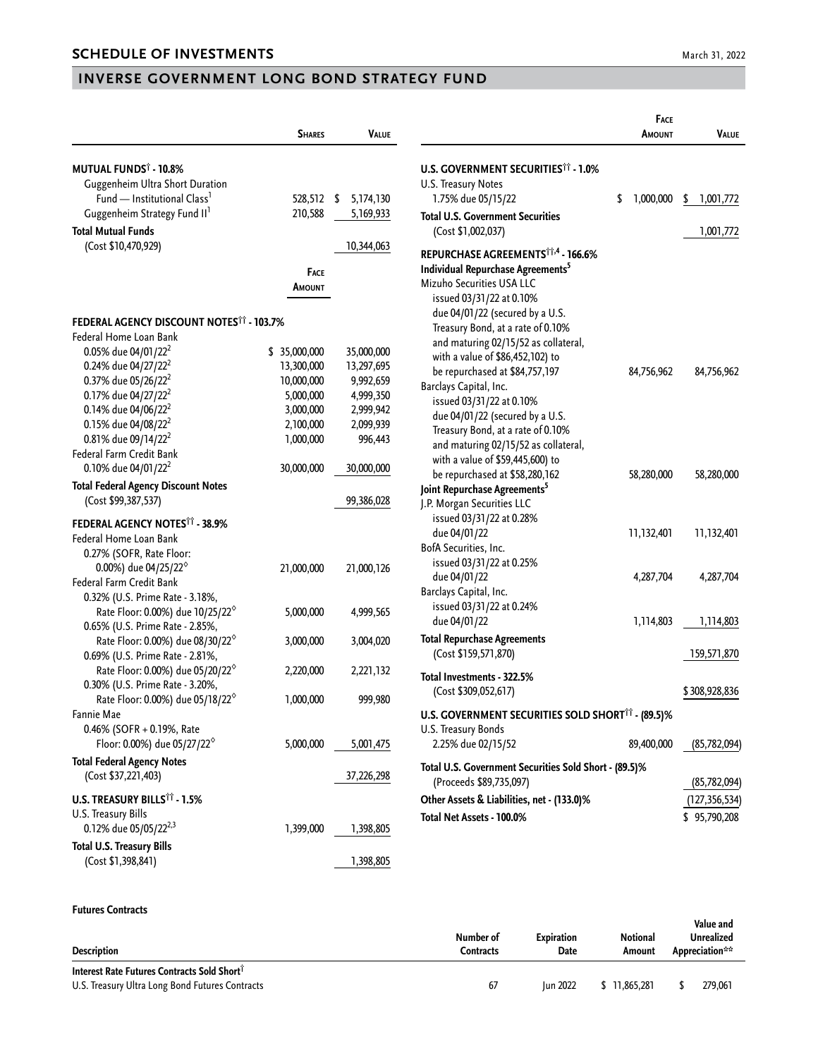## **INVERSE GOVERNMENT LONG BOND STRATEGY FUND**

|                                                             | <b>SHARES</b>    | Value           |
|-------------------------------------------------------------|------------------|-----------------|
|                                                             |                  |                 |
| <b>MUTUAL FUNDS</b> † - 10.8%                               |                  |                 |
| Guggenheim Ultra Short Duration                             |                  |                 |
| Fund - Institutional Class <sup>1</sup>                     | 528,512          | \$<br>5,174,130 |
| Guggenheim Strategy Fund II'                                | 210,588          | 5,169,933       |
| <b>Total Mutual Funds</b>                                   |                  |                 |
| (Cost \$10,470,929)                                         |                  | 10,344,063      |
|                                                             | FACE             |                 |
|                                                             | Amount           |                 |
|                                                             |                  |                 |
| FEDERAL AGENCY DISCOUNT NOTES <sup>11</sup> - 103.7%        |                  |                 |
| Federal Home Loan Bank                                      |                  |                 |
| 0.05% due 04/01/22 <sup>2</sup>                             | \$<br>35,000,000 | 35,000,000      |
| 0.24% due 04/27/22 <sup>2</sup>                             | 13,300,000       | 13,297,695      |
| 0.37% due 05/26/22 <sup>2</sup>                             | 10,000,000       | 9,992,659       |
| 0.17% due 04/27/22 <sup>2</sup>                             | 5,000,000        | 4,999,350       |
| 0.14% due 04/06/22 <sup>2</sup>                             | 3,000,000        | 2,999,942       |
| 0.15% due 04/08/22 <sup>2</sup>                             | 2,100,000        | 2,099,939       |
| 0.81% due 09/14/22 <sup>2</sup>                             | 1,000,000        | 996,443         |
| Federal Farm Credit Bank<br>0.10% due 04/01/22 <sup>2</sup> | 30,000,000       | 30,000,000      |
|                                                             |                  |                 |
| <b>Total Federal Agency Discount Notes</b>                  |                  |                 |
| (Cost \$99,387,537)                                         |                  | 99,386,028      |
| <b>FEDERAL AGENCY NOTES†† - 38.9%</b>                       |                  |                 |
| Federal Home Loan Bank                                      |                  |                 |
| 0.27% (SOFR, Rate Floor:                                    |                  |                 |
| 0.00%) due 04/25/22 <sup><math>\diamond</math></sup>        | 21,000,000       | 21,000,126      |
| Federal Farm Credit Bank                                    |                  |                 |
| 0.32% (U.S. Prime Rate - 3.18%,                             |                  |                 |
| Rate Floor: 0.00%) due 10/25/22 <sup>6</sup>                | 5,000,000        | 4,999,565       |
| 0.65% (U.S. Prime Rate - 2.85%,                             |                  |                 |
| Rate Floor: 0.00%) due 08/30/22 <sup>%</sup>                | 3,000,000        | 3,004,020       |
| 0.69% (U.S. Prime Rate - 2.81%,                             |                  |                 |
| Rate Floor: 0.00%) due 05/20/22 <sup>6</sup>                | 2,220,000        | 2,221,132       |
| 0.30% (U.S. Prime Rate - 3.20%,                             |                  |                 |
| Rate Floor: 0.00%) due 05/18/22 <sup>6</sup>                | 1,000,000        | 999,980         |
| <b>Fannie Mae</b>                                           |                  |                 |
| 0.46% (SOFR + 0.19%, Rate                                   |                  |                 |
| Floor: 0.00%) due 05/27/22 <sup><math>\diamond</math></sup> | 5,000,000        | 5,001,475       |
| <b>Total Federal Agency Notes</b>                           |                  |                 |
| (Cost \$37,221,403)                                         |                  | 37,226,298      |
|                                                             |                  |                 |
| <b>U.S. TREASURY BILLS<sup>11</sup> - 1.5%</b>              |                  |                 |
| U.S. Treasury Bills                                         |                  |                 |
| 0.12% due 05/05/22 <sup>2,3</sup>                           | 1,399,000        | 1,398,805       |
| <b>Total U.S. Treasury Bills</b>                            |                  |                 |
| (Cost \$1,398,841)                                          |                  | 1,398,805       |

|                                                       | FACE            |                 |
|-------------------------------------------------------|-----------------|-----------------|
|                                                       | <b>AMOUNT</b>   | <b>VALUE</b>    |
| <b>U.S. GOVERNMENT SECURITIES<sup>11</sup> - 1.0%</b> |                 |                 |
| U.S. Treasury Notes                                   |                 |                 |
| 1.75% due 05/15/22                                    | \$<br>1,000,000 | \$<br>1,001,772 |
| <b>Total U.S. Government Securities</b>               |                 |                 |
| (Cost \$1,002,037)                                    |                 | 1,001,772       |
| REPURCHASE AGREEMENTS <sup>11,4</sup> - 166.6%        |                 |                 |
| Individual Repurchase Agreements <sup>5</sup>         |                 |                 |
| Mizuho Securities USA LLC                             |                 |                 |
| issued 03/31/22 at 0.10%                              |                 |                 |
| due 04/01/22 (secured by a U.S.                       |                 |                 |
| Treasury Bond, at a rate of 0.10%                     |                 |                 |
| and maturing 02/15/52 as collateral,                  |                 |                 |
| with a value of \$86,452,102) to                      |                 |                 |
| be repurchased at \$84,757,197                        | 84,756,962      | 84,756,962      |
| Barclays Capital, Inc.                                |                 |                 |
| issued 03/31/22 at 0.10%                              |                 |                 |
| due 04/01/22 (secured by a U.S.                       |                 |                 |
| Treasury Bond, at a rate of 0.10%                     |                 |                 |
| and maturing 02/15/52 as collateral,                  |                 |                 |
| with a value of \$59,445,600) to                      |                 |                 |
| be repurchased at \$58,280,162                        | 58,280,000      | 58,280,000      |
| Joint Repurchase Agreements <sup>5</sup>              |                 |                 |
| J.P. Morgan Securities LLC                            |                 |                 |
| issued 03/31/22 at 0.28%                              |                 |                 |
| due 04/01/22                                          | 11,132,401      | 11,132,401      |
| BofA Securities, Inc.                                 |                 |                 |
| issued 03/31/22 at 0.25%                              |                 |                 |
| due 04/01/22                                          | 4,287,704       | 4,287,704       |
| Barclays Capital, Inc.                                |                 |                 |
| issued 03/31/22 at 0.24%                              |                 |                 |
| due 04/01/22                                          | 1,114,803       | 1,114,803       |
| <b>Total Repurchase Agreements</b>                    |                 |                 |
| (Cost \$159,571,870)                                  |                 | 159,571,870     |
| Total Investments - 322.5%                            |                 |                 |
| (Cost \$309,052,617)                                  |                 | \$308,928,836   |
| U.S. GOVERNMENT SECURITIES SOLD SHORT TT - (89.5)%    |                 |                 |
| U.S. Treasury Bonds                                   |                 |                 |
| 2.25% due 02/15/52                                    | 89,400,000      | (85,782,094)    |
| Total U.S. Government Securities Sold Short - (89.5)% |                 |                 |
| (Proceeds \$89,735,097)                               |                 | (85,782,094)    |
| Other Assets & Liabilities, net - (133.0)%            |                 | (127, 356, 534) |
| Total Net Assets - 100.0%                             |                 | \$95,790,208    |
|                                                       |                 |                 |

## **Futures Contracts**

| <b>Description</b>                                      | Number of<br>Contracts | <b>Expiration</b><br>Date | Notional<br>Amount | Value and<br>Unrealized<br>Appreciation** |
|---------------------------------------------------------|------------------------|---------------------------|--------------------|-------------------------------------------|
| Interest Rate Futures Contracts Sold Short <sup>1</sup> |                        |                           |                    |                                           |
| U.S. Treasury Ultra Long Bond Futures Contracts         | 67                     | <b>Iun 2022</b>           | 11.865.281         | 279,061                                   |